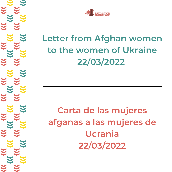

## **Letter from Afghan women to the women of Ukraine 22/03/2022**

**Carta de las mujeres afganas a las mujeres de Ucrania 22/03/2022**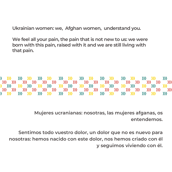**Ukrainian women: we, Afghan women, understand you.**

**We feel all your pain, the pain that is not new to us: we were born with this pain, raised with it and we are still living with that pain.**

 $\sum$  $\mathbf{W}$   $\mathbf{W}$  $\mathcal{W}$   $\mathcal{W}$  $\mathbf{y}$  $\mathbf{W}$   $\mathbf{W}$  $\mathcal{W}$   $\mathcal{W}$ **>>>**  $\mathcal{W}$   $\mathcal{W}$  $\mathcal{W}$   $\mathcal{W}$  $\sum$ 1992 - 1993 - 1993 - 1994 - 1994 - 1994 - 1994 - 1995 - 1996 - 1997 - 1998 - 1999 - 1999 - 1999 - 199  $\sum$  $\mathcal{W}$   $\mathcal{W}$  $\mathbf{W}$   $\mathbf{W}$ **XXX** 

> **Mujeres ucranianas: nosotras, las mujeres afganas, os entendemos.**

**Sentimos todo vuestro dolor, un dolor que no es nuevo para nosotras: hemos nacido con este dolor, nos hemos criado con él y seguimos viviendo con él.**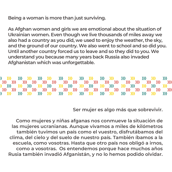**Being a woman is more than just surviving.**

**As Afghan women and girls we are emotional about the situation of Ukrainian women. Even though we live thousands of miles away we also had a country as you did, we used to enjoy the weather, the sky, and the ground of our country. We also went to school and so did you. Until another country forced us to leave and so they did to you. We understand you because many years back Russia also invaded Afghanistan which was unforgettable.**

 $\sum$  $\mathbf{W}$   $\mathbf{W}$  $\mathcal{W}$   $\mathcal{W}$ **XXX**  $\mathcal{W}$   $\mathcal{W}$  $\mathbf{W}$   $\mathbf{W}$  $\mathcal{W}$   $\mathcal{W}$ **>>>**  $\mathcal{W}$   $\mathcal{W}$  $\mathbf{y}$ 1992 - 1993 - 1993 - 1994 - 1995 - 1996 - 1997 - 1998 - 1999 - 1999 - 1999 - 1999 - 1999 - 1999 - 199 **XXX**  $\mathcal{W}$   $\mathcal{W}$  $\mathbf{W}$   $\mathbf{W}$ **XX** 

**Ser mujer es algo más que sobrevivir.**

**Como mujeres y niñas afganas nos conmueve la situación de las mujeres ucranianas. Aunque vivamos a miles de kilómetros también tuvimos un país como el vuestro, disfrutábamos del clima, del cielo y del suelo de nuestro país. También íbamos a la escuela, como vosotras. Hasta que otro país nos obligó a irnos, como a vosotras. Os entendemos porque hace muchos años Rusia también invadió Afganistán, y no lo hemos podido olvidar.**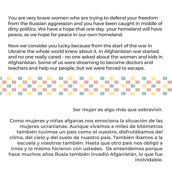**You are very brave women who are trying to defend your freedom from the Russian aggression and you have been caught in middle of dirty politics. We have a hope that one day your homeland will have peace, as we hope for peace in our own homeland.**

**Now we consider you lucky because from the start of the war in Ukraine the whole world knew about it. In Afghanistan war started and no one really cared - no one asked about the women and kids in Afghanistan. Some of us were dreaming to become doctors and teachers and help our people, but we were forced to escape.**

 $\mathbf{W}$   $\mathbf{W}$  $\mathcal{W}$   $\mathcal{W}$ **XX**  $\mathcal{W}$   $\mathcal{W}$  $\mathcal{W}$   $\mathcal{W}$ **>>>**  $\mathcal{W}$   $\mathcal{W}$  $\mathbf{y}$ **XXX**  $\mathcal{W}$   $\mathcal{W}$  $\mathbf{W}$   $\mathbf{W}$ **XX** 

**Ser mujer es algo más que sobrevivir.**

**Como mujeres y niñas afganas nos emociona la situación de las mujeres ucranianas. Aunque vivamos a miles de kilómetros también tuvimos un país como el vuestro, disfrutábamos del clima, del cielo y del suelo de nuestro país. También íbamos a la escuela y vosotros también. Hasta que otro país nos obligó a irnos y lo mismo hicieron con ustedes. Os entendemos porque hace muchos años Rusia también invadió Afganistán, lo que fue inolvidable.**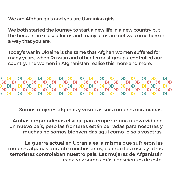**We are Afghan girls and you are Ukrainian girls.**

**We both started the journey to start a new life in a new country but the borders are closed for us and many of us are not welcome here in a way that you are.**

**Today's war in Ukraine is the same that Afghan women suffered for many years, when Russian and other terrorist groups controlled our country. The women in Afghanistan realise this more and more.**

 $\sum$  $\sum$  $\mathcal{W}$   $\mathcal{W}$ **XX**  $W$   $W$  $\mathcal{W}$   $\mathcal{W}$  $\mathcal{W}$   $\mathcal{W}$  $\mathbf{y}$  $\mathcal{W}$   $\mathcal{W}$  $\mathbf{y}$ 1992 - 2003 - 2003 - 2004 - 2004 - 2004 - 2004 - 2004 - 2004 - 2004 - 2004 - 2004 - 2004 - 2004 - 200  $\mathbf{y}$ 1992 1993 1993 1993 1993 1994 1995 1995 1996 1997 1997  $\mathcal{W}$   $\mathcal{W}$  $\mathbf{W}$   $\mathbf{W}$ **XX**  $\sum$ 

**Somos mujeres afganas y vosotras sois mujeres ucranianas.**

**Ambas emprendimos el viaje para empezar una nueva vida en un nuevo país, pero las fronteras están cerradas para nosotras y muchas no somos bienvenidas aquí como lo sois vosotras.**

**La guerra actual en Ucrania es la misma que sufrieron las mujeres afganas durante muchos años, cuando los rusos y otros terroristas controlaban nuestro país. Las mujeres de Afganistán cada vez somos más conscientes de esto.**